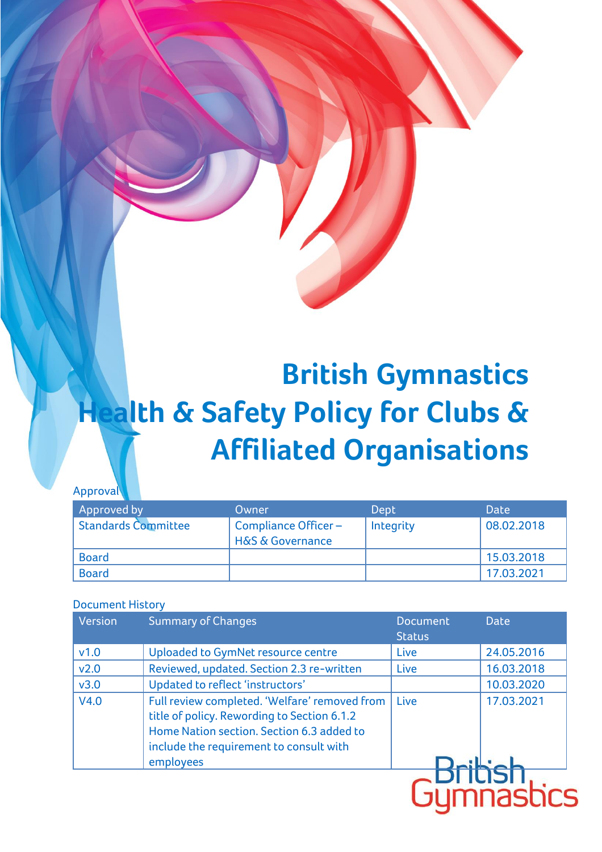# **British Gymnastics Health & Safety Policy for Clubs & Affiliated Organisations**

#### Approval

| Approved by                | Owner                                                  | Dept      | <b>Date</b> |
|----------------------------|--------------------------------------------------------|-----------|-------------|
| <b>Standards Committee</b> | Compliance Officer-<br><b>H&amp;S &amp; Governance</b> | Integrity | 08.02.2018  |
| <b>Board</b>               |                                                        |           | 15.03.2018  |
| <b>Board</b>               |                                                        |           | 17.03.2021  |

#### Document History

| Version | <b>Summary of Changes</b>                                                                                                                                                                         | <b>Document</b><br><b>Status</b> | <b>Date</b> |
|---------|---------------------------------------------------------------------------------------------------------------------------------------------------------------------------------------------------|----------------------------------|-------------|
| v1.0    | Uploaded to GymNet resource centre                                                                                                                                                                | Live                             | 24.05.2016  |
| v2.0    | Reviewed, updated. Section 2.3 re-written                                                                                                                                                         | Live                             | 16.03.2018  |
| v3.0    | Updated to reflect 'instructors'                                                                                                                                                                  |                                  | 10.03.2020  |
| V4.0    | Full review completed. 'Welfare' removed from<br>title of policy. Rewording to Section 6.1.2<br>Home Nation section. Section 6.3 added to<br>include the requirement to consult with<br>employees | Live                             | 17.03.2021  |
|         |                                                                                                                                                                                                   |                                  | nasr        |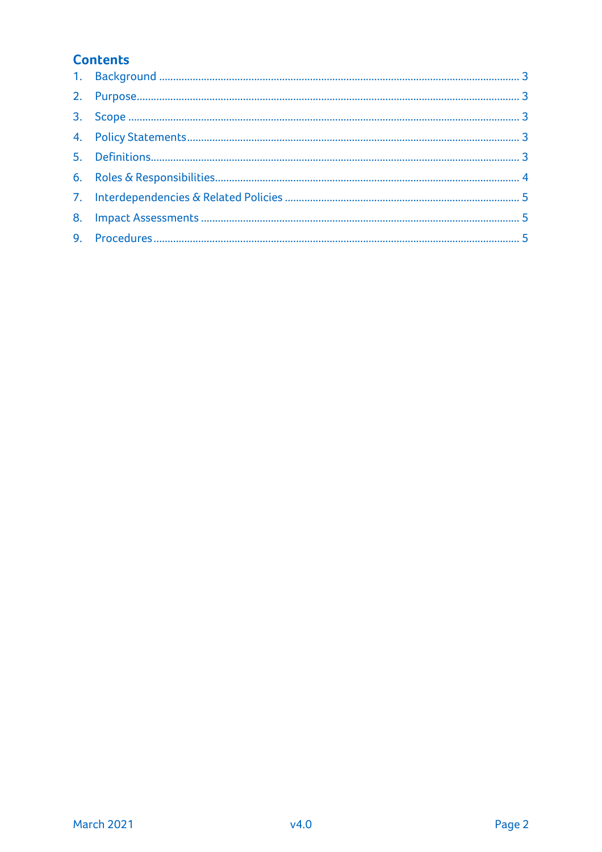# **Contents**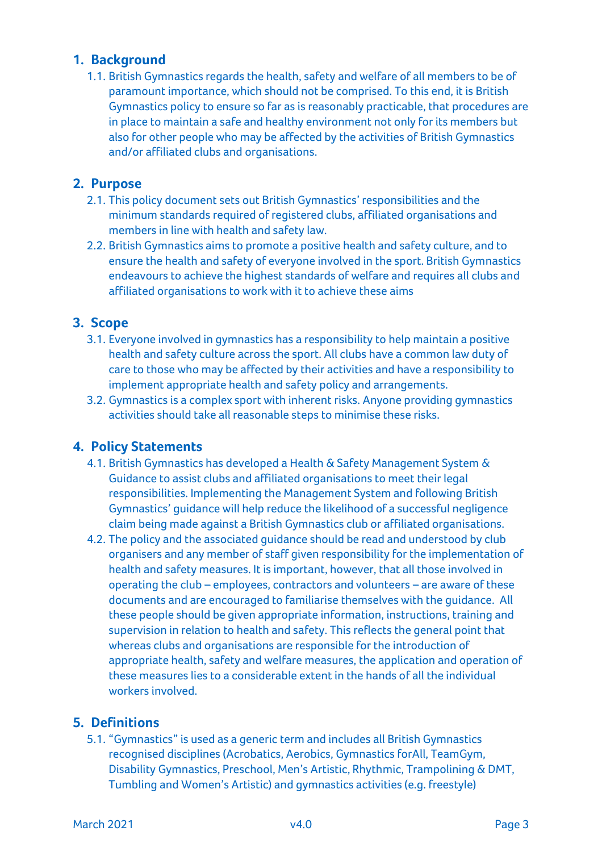### <span id="page-2-0"></span>**1. Background**

1.1. British Gymnastics regards the health, safety and welfare of all members to be of paramount importance, which should not be comprised. To this end, it is British Gymnastics policy to ensure so far as is reasonably practicable, that procedures are in place to maintain a safe and healthy environment not only for its members but also for other people who may be affected by the activities of British Gymnastics and/or affiliated clubs and organisations.

#### <span id="page-2-1"></span>**2. Purpose**

- 2.1. This policy document sets out British Gymnastics' responsibilities and the minimum standards required of registered clubs, affiliated organisations and members in line with health and safety law.
- 2.2. British Gymnastics aims to promote a positive health and safety culture, and to ensure the health and safety of everyone involved in the sport. British Gymnastics endeavours to achieve the highest standards of welfare and requires all clubs and affiliated organisations to work with it to achieve these aims

#### <span id="page-2-2"></span>**3. Scope**

- 3.1. Everyone involved in gymnastics has a responsibility to help maintain a positive health and safety culture across the sport. All clubs have a common law duty of care to those who may be affected by their activities and have a responsibility to implement appropriate health and safety policy and arrangements.
- 3.2. Gymnastics is a complex sport with inherent risks. Anyone providing gymnastics activities should take all reasonable steps to minimise these risks.

#### <span id="page-2-3"></span>**4. Policy Statements**

- 4.1. British Gymnastics has developed a Health & Safety Management System & Guidance to assist clubs and affiliated organisations to meet their legal responsibilities. Implementing the Management System and following British Gymnastics' guidance will help reduce the likelihood of a successful negligence claim being made against a British Gymnastics club or affiliated organisations.
- 4.2. The policy and the associated guidance should be read and understood by club organisers and any member of staff given responsibility for the implementation of health and safety measures. It is important, however, that all those involved in operating the club – employees, contractors and volunteers – are aware of these documents and are encouraged to familiarise themselves with the guidance. All these people should be given appropriate information, instructions, training and supervision in relation to health and safety. This reflects the general point that whereas clubs and organisations are responsible for the introduction of appropriate health, safety and welfare measures, the application and operation of these measures lies to a considerable extent in the hands of all the individual workers involved.

## <span id="page-2-4"></span>**5. Definitions**

5.1. "Gymnastics" is used as a generic term and includes all British Gymnastics recognised disciplines (Acrobatics, Aerobics, Gymnastics forAll, TeamGym, Disability Gymnastics, Preschool, Men's Artistic, Rhythmic, Trampolining & DMT, Tumbling and Women's Artistic) and gymnastics activities (e.g. freestyle)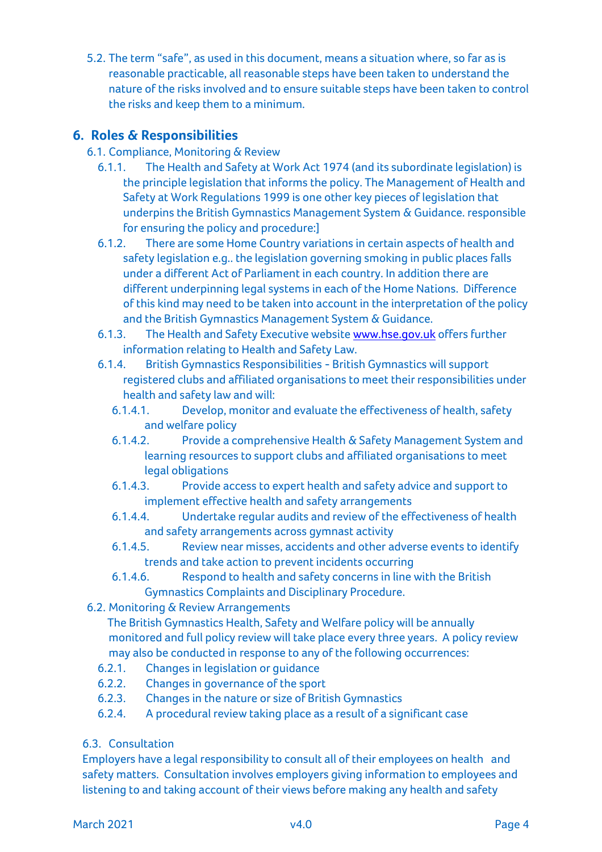5.2. The term "safe", as used in this document, means a situation where, so far as is reasonable practicable, all reasonable steps have been taken to understand the nature of the risks involved and to ensure suitable steps have been taken to control the risks and keep them to a minimum.

## <span id="page-3-0"></span>**6. Roles & Responsibilities**

- 6.1. Compliance, Monitoring & Review
	- 6.1.1. The Health and Safety at Work Act 1974 (and its subordinate legislation) is the principle legislation that informs the policy. The Management of Health and Safety at Work Regulations 1999 is one other key pieces of legislation that underpins the British Gymnastics Management System & Guidance. responsible for ensuring the policy and procedure:]
	- 6.1.2. There are some Home Country variations in certain aspects of health and safety legislation e.g.. the legislation governing smoking in public places falls under a different Act of Parliament in each country. In addition there are different underpinning legal systems in each of the Home Nations. Difference of this kind may need to be taken into account in the interpretation of the policy and the British Gymnastics Management System & Guidance.
	- 6.1.3. The Health and Safety Executive website [www.hse.gov.uk](http://www.hse.gov.uk/) offers further information relating to Health and Safety Law.
	- 6.1.4. British Gymnastics Responsibilities British Gymnastics will support registered clubs and affiliated organisations to meet their responsibilities under health and safety law and will:
		- 6.1.4.1. Develop, monitor and evaluate the effectiveness of health, safety and welfare policy
		- 6.1.4.2. Provide a comprehensive Health & Safety Management System and learning resources to support clubs and affiliated organisations to meet legal obligations
		- 6.1.4.3. Provide access to expert health and safety advice and support to implement effective health and safety arrangements
		- 6.1.4.4. Undertake regular audits and review of the effectiveness of health and safety arrangements across gymnast activity
		- 6.1.4.5. Review near misses, accidents and other adverse events to identify trends and take action to prevent incidents occurring
		- 6.1.4.6. Respond to health and safety concerns in line with the British Gymnastics Complaints and Disciplinary Procedure.
- 6.2. Monitoring & Review Arrangements

 The British Gymnastics Health, Safety and Welfare policy will be annually monitored and full policy review will take place every three years. A policy review may also be conducted in response to any of the following occurrences:

- 6.2.1. Changes in legislation or guidance
- 6.2.2. Changes in governance of the sport
- 6.2.3. Changes in the nature or size of British Gymnastics
- 6.2.4. A procedural review taking place as a result of a significant case
- 6.3. Consultation

Employers have a legal responsibility to consult all of their employees on health and safety matters. Consultation involves employers giving information to employees and listening to and taking account of their views before making any health and safety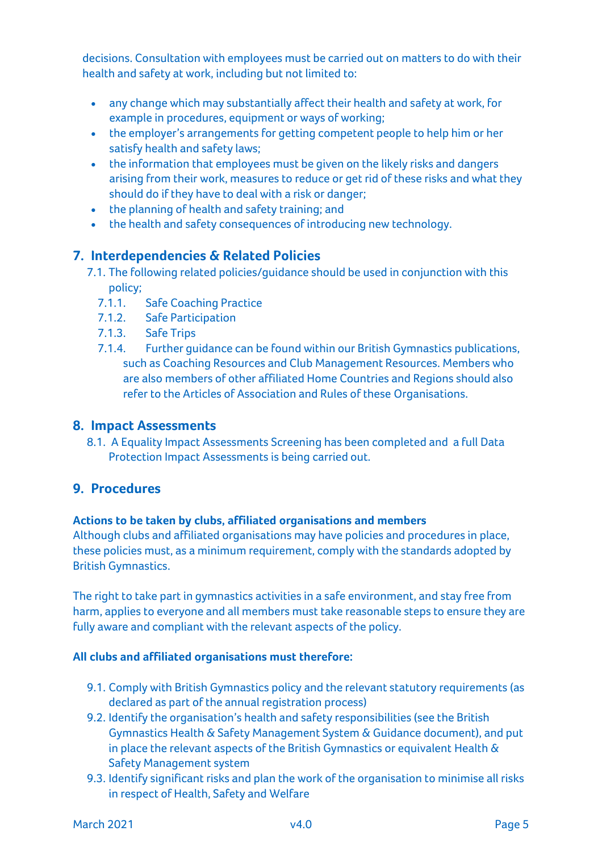decisions. Consultation with employees must be carried out on matters to do with their health and safety at work, including but not limited to:

- any change which may substantially affect their health and safety at work, for example in procedures, equipment or ways of working;
- the employer's arrangements for getting competent people to help him or her satisfy health and safety laws;
- the information that employees must be given on the likely risks and dangers arising from their work, measures to reduce or get rid of these risks and what they should do if they have to deal with a risk or danger;
- the planning of health and safety training; and
- the health and safety consequences of introducing new technology.

### <span id="page-4-0"></span>**7. Interdependencies & Related Policies**

- 7.1. The following related policies/guidance should be used in conjunction with this policy;
	- 7.1.1. Safe Coaching Practice
	- 7.1.2. Safe Participation
	- 7.1.3. Safe Trips
	- 7.1.4. Further guidance can be found within our British Gymnastics publications, such as Coaching Resources and Club Management Resources. Members who are also members of other affiliated Home Countries and Regions should also refer to the Articles of Association and Rules of these Organisations.

#### <span id="page-4-1"></span>**8. Impact Assessments**

8.1. A Equality Impact Assessments Screening has been completed and a full Data Protection Impact Assessments is being carried out.

## <span id="page-4-2"></span>**9. Procedures**

#### **Actions to be taken by clubs, affiliated organisations and members**

Although clubs and affiliated organisations may have policies and procedures in place, these policies must, as a minimum requirement, comply with the standards adopted by British Gymnastics.

The right to take part in gymnastics activities in a safe environment, and stay free from harm, applies to everyone and all members must take reasonable steps to ensure they are fully aware and compliant with the relevant aspects of the policy.

#### **All clubs and affiliated organisations must therefore:**

- 9.1. Comply with British Gymnastics policy and the relevant statutory requirements (as declared as part of the annual registration process)
- 9.2. Identify the organisation's health and safety responsibilities (see the British Gymnastics Health & Safety Management System & Guidance document), and put in place the relevant aspects of the British Gymnastics or equivalent Health & Safety Management system
- 9.3. Identify significant risks and plan the work of the organisation to minimise all risks in respect of Health, Safety and Welfare